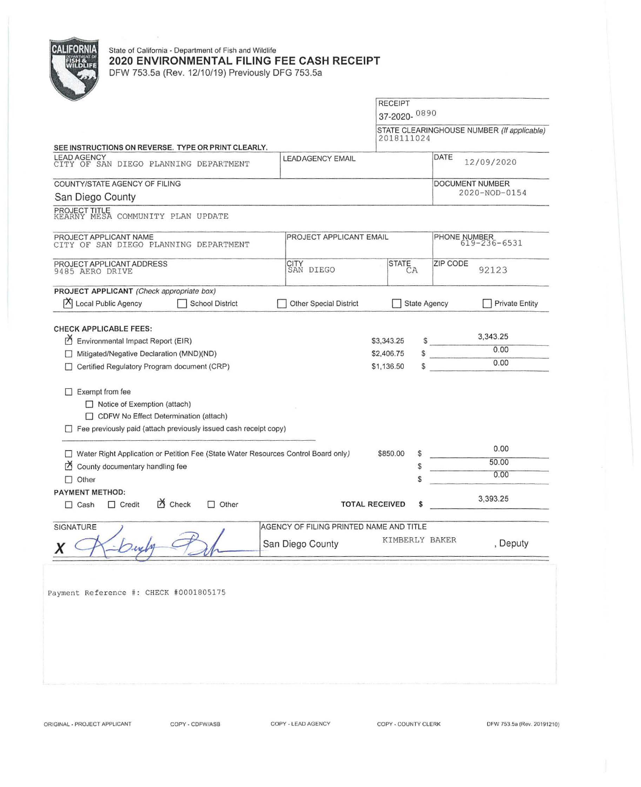

## State of California - Department of Fish and Wildlife **2020 ENVIRONMENTAL FILING FEE CASH RECEIPT**  DFW 753.Sa (Rev. 12/10/19) Previously DFG 753.Sa

RECEIPT 37-2020- 0890 STATE CLEARINGHOUSE NUMBER (If applicable) 2018111024 SEE INSTRUCTIONS ON REVERSE. TYPE OR PRINT CLEARLY. DATE 12/09/2020 LEADAGENCY EMAIL LEAD AGENCY CITY OF SAN DIEGO PLANNING DE PARTMENT COUNTY/STATE AGENCY OF FILING DOCUMENT NUMBER 2020-NOD-0154 San Diego County PROJECT TITLE KEARNY MESA COMMUNITY PLAN UPDATE PROJECT APPLICANT NAME<br>CITY OF SAN DIEGO PLANNING DEPARTMENT PROJECT APPLICANT EMAIL PHONE NUMBER<br>CITY OF SAN DIEGO PLANNING DEPARTMENT CITY OF SAN DIEGO PLANNING DEPARTMENT PROJECT APPLICANT ADDRESS CITY<br>SAN DIEGO ZIP CODE STATE<br>CA 92123 9485 AERO DRIVE I PROJECT APPLICANT (Check appropriate box)  $|\mathsf{\vec{X}}|$  Local Public Agency  $\Box$  School District Other Special District State Agency **Private Entity** CHECK APPLICABLE FEES:  $\frac{$}{0.00}$  $\overrightarrow{P}$  Environmental Impact Report (EIR) \$3,343.25  $\frac{$}{9}$   $\frac{3,343.25}{0.00}$  $\begin{array}{c|c}\n\circ & & 0.00 \\
\hline\n\circ & & 0.00\n\end{array}$ D Mitigated/Negative Declaration (MND)(ND) \$2,406.75 D Certified Regulatory Program document (CRP) \$1,136.50  $\Box$  Exempt from fee □ Notice of Exemption (attach) □ CDFW No Effect Determination (attach)  $\Box$  Fee previously paid (attach previously issued cash receipt copy) \$850.00 \$ 0.00 D Water Right Application or Petition Fee (State Water Resources Control Board only) 50.00  $\overrightarrow{A}$  County documentary handling fee \$ 0.00 D Other \$ **PAYMENT** METHOD:  $\Box$  Cash  $\Box$  Credit  $\bullet$  Check  $\Box$  Other TOTAL RECEIVED \$ 3,393.25 AGENCY OF FILING PRINTED NAME AND TITLE SIGNATURE KIMBERLY BAKER , Deputy **San Diego County** Payment Reference #: CHECK #0001805175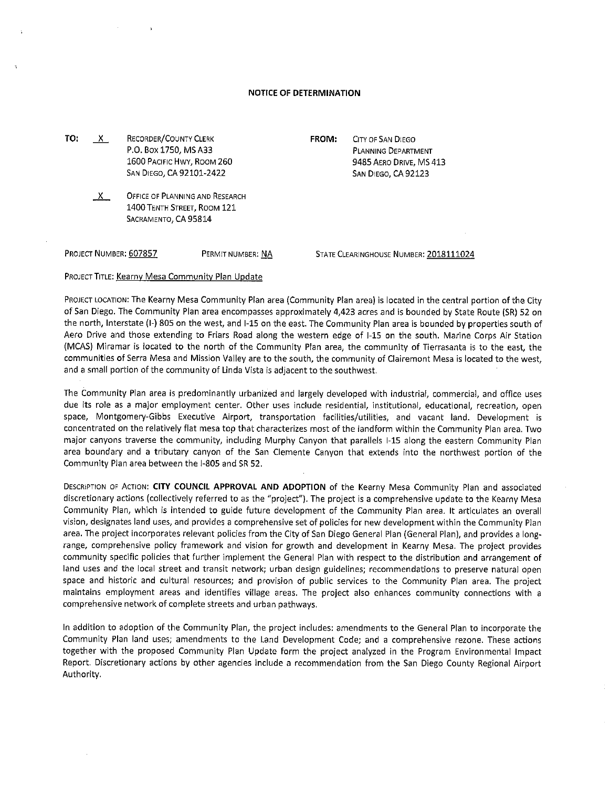## **NOTICE OF DETERMINATION**

**TO:** \_\_x\_\_ RECORDER/COUNTY CLERK P.O. Box 1750, MS A33 1600 PACIFIC HWY, ROOM 260 SAN DIEGO, CA 92101-2422

> $X$  OFFICE OF PLANNING AND RESEARCH 1400 TENTH STREET, ROOM 121 SACRAMENTO, CA 95814

PROJECT NUMBER: 607857 PERMIT NUMBER: NA

PLANNING DEPARTMENT 9485 AERO DRIVE, MS 413 SAN DIEGO, CA 92123

**FROM:** CITY OF SAN DIEGO

STATE CLEARINGHOUSE NUMBER: 2018111024

PROJECT TITLE: Kearny Mesa Community Plan Update

PROJECT LOCATION: The Kearny Mesa Community Plan area (Community Plan area) is located in the central portion of the City of San Diego. The Community Plan area encompasses approximately 4,423 acres and is bounded by State Route (SR) 52 on the north, Interstate (I-) 805 on the west, and 1-15 on the east. The Community Plan area is bounded by properties south of Aero Drive and those extending to Friars Road along the western edge of 1-15 on the south. Marine Corps Air Station (MCAS) Miramar is located to the north of the Community Plan area, the community of Tierrasanta is to the east, the communities of Serra Mesa and Mission Valley are to the south, the community of Clairemont Mesa is located to the west, and a small portion of the community of Linda Vista is adjacent to the southwest.

The Community Plan area is predominantly urbanized and largely developed with industrial, commercial, and office uses due its role as a major employment center. Other uses include residential, institutional, educational, recreation, open space, Montgomery-Gibbs Executive Airport, transportation facilities/utilities, and vacant land. Development is concentrated on the relatively flat mesa top that characterizes most of the landform within the Community Plan area. Two major canyons traverse the community, including Murphy Canyon that parallels 1-15 along the eastern Community Plan area boundary and a tributary canyon of the San Clemente Canyon that extends into the northwest portion of the Community Plan area between the 1-805 and SR 52.

DESCRIPTION OF ACTION: **CITY COUNCIL APPROVAL AND ADOPTION** of the Kearny Mesa Community Plan and associated discretionary actions (collectively referred to as the "project"). The project is a comprehensive update to the Kearny Mesa Community Plan, which is intended to guide future development of the Community Plan area. It articulates an overall vision, designates land uses, and provides a comprehensive set of policies for new development within the Community Plan area. The project incorporates relevant policies from the City of San Diego General Plan (General Plan), and provides a longrange, comprehensive policy framework and vision for growth and development in Kearny Mesa. The project provides community specific policies that further implement the General Plan with respect to the distribution and arrangement of land uses and the local street and transit network; urban design guidelines; recommendations to preserve natural open space and historic and cultural resources; and provision of public services to the Community Plan area. The project maintains employment areas and identifies village areas. The project also enhances community connections with a comprehensive network of complete streets and urban pathways.

In addition to adoption of the Community Plan, the project includes: amendments to the General Plan to incorporate the Community Plan land uses; amendments to the Land Development Code; and a comprehensive rezone. These actions together with the proposed Community Plan Update form the project analyzed in the Program Environmental Impact Report. Discretionary actions by other agencies include a recommendation from the San Diego County Regional Airport Authority.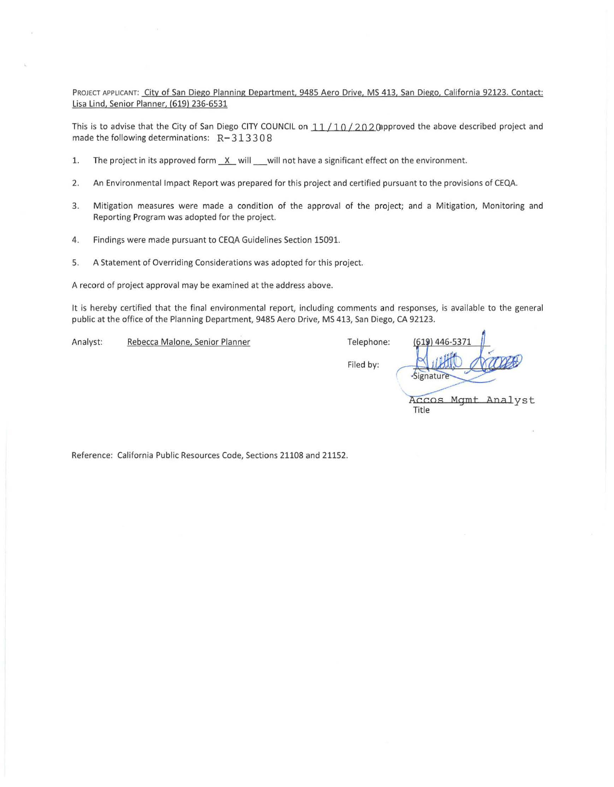PROJECT APPLICANT: City of San Diego Planning Department, 9485 Aero Drive, MS 413, San Diego, California 92123. Contact: Lisa Lind, Senior Planner, (619) 236-6531

This is to advise that the City of San Diego CITY COUNCIL on  $11/10/202$  (approved the above described project and made the following determinations:  $R-313308$ 

- 1. The project in its approved form  $X$  will will not have a significant effect on the environment.
- 2. An Environmental Impact Report was prepared for this project and certified pursuant to the provisions of CEQA.
- 3. Mitigation measures were made a condition of the approval of the project; and a Mitigation, Monitoring and Reporting Program was adopted for the project.
- 4. Findings were made pursuant to CEQA Guidelines Section 15091.
- 5. A Statement of Overriding Considerations was adopted for this project.

A record of project approval may be examined at the address above.

It is hereby certified that the final environmental report, including comments and responses, is available to the general public at the office of the Planning Department, 9485 Aero Drive, MS 413, San Diego, CA 92123.

Analyst: Rebecca Malone, Senior Planner Telephone:

Filed by:

Signatur Accos Mgmt Analyst Title

Reference: California Public Resources Code, Sections 21108 and 21152.